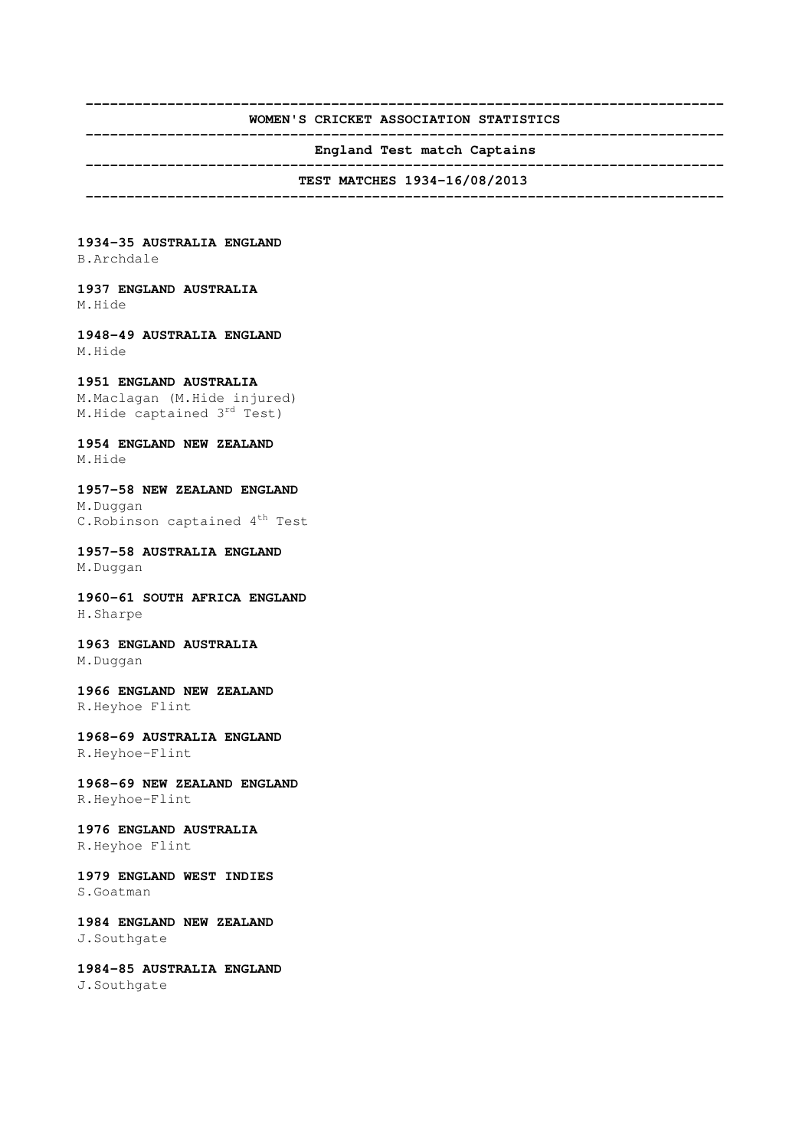#### **------------------------------------------------------------------------------ WOMEN'S CRICKET ASSOCIATION STATISTICS ------------------------------------------------------------------------------**

**England Test match Captains** 

 **------------------------------------------------------------------------------ TEST MATCHES 1934-16/08/2013** 

 **------------------------------------------------------------------------------** 

**1934-35 AUSTRALIA ENGLAND**  B.Archdale

**1937 ENGLAND AUSTRALIA**  M.Hide

**1948-49 AUSTRALIA ENGLAND**  M.Hide

#### **1951 ENGLAND AUSTRALIA**

M.Maclagan (M.Hide injured) M.Hide captained 3rd Test)

**1954 ENGLAND NEW ZEALAND**  M.Hide

**1957-58 NEW ZEALAND ENGLAND**  M.Duggan C.Robinson captained 4<sup>th</sup> Test

**1957-58 AUSTRALIA ENGLAND**  M.Duggan

**1960-61 SOUTH AFRICA ENGLAND**  H.Sharpe

**1963 ENGLAND AUSTRALIA**  M.Duggan

**1966 ENGLAND NEW ZEALAND**  R.Heyhoe Flint

**1968-69 AUSTRALIA ENGLAND**  R.Heyhoe-Flint

**1968-69 NEW ZEALAND ENGLAND**  R.Heyhoe-Flint

**1976 ENGLAND AUSTRALIA**  R.Heyhoe Flint

**1979 ENGLAND WEST INDIES**  S.Goatman

**1984 ENGLAND NEW ZEALAND**  J.Southgate

**1984-85 AUSTRALIA ENGLAND**  J.Southgate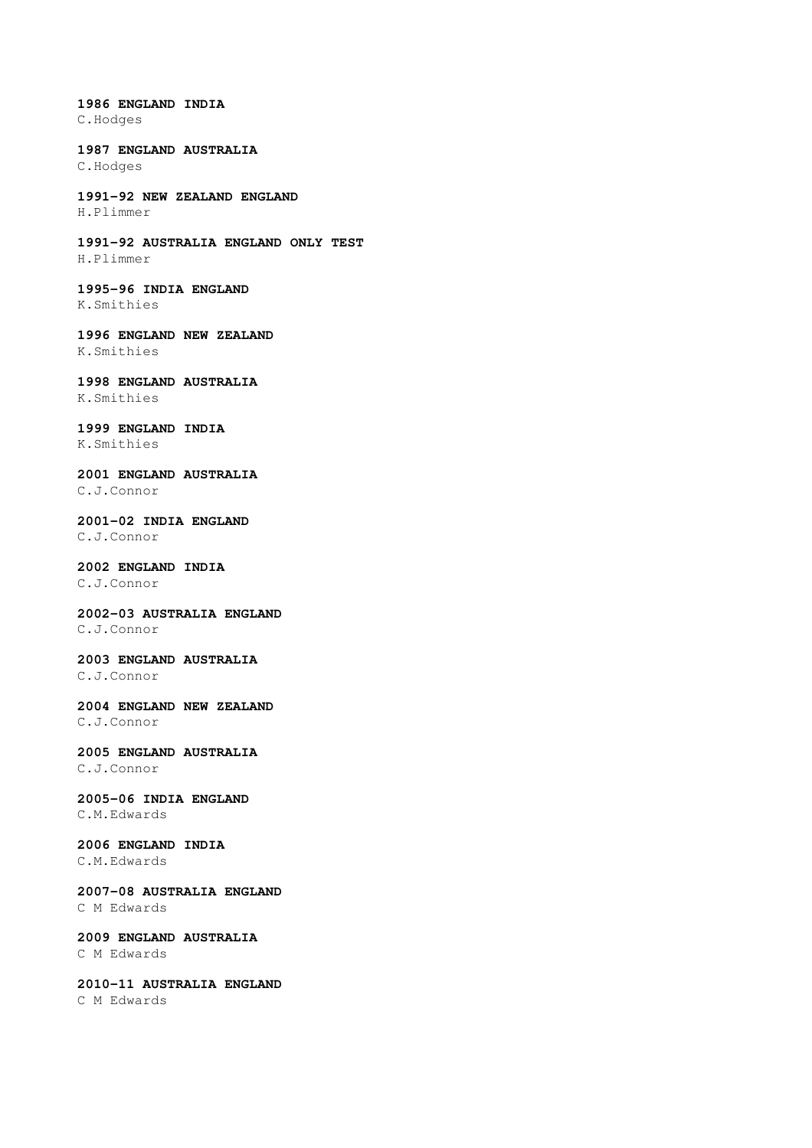**1986 ENGLAND INDIA**  C.Hodges

**1987 ENGLAND AUSTRALIA**  C.Hodges

**1991-92 NEW ZEALAND ENGLAND**  H.Plimmer

**1991-92 AUSTRALIA ENGLAND ONLY TEST**  H.Plimmer

**1995-96 INDIA ENGLAND** K.Smithies

**1996 ENGLAND NEW ZEALAND**  K.Smithies

**1998 ENGLAND AUSTRALIA**  K.Smithies

**1999 ENGLAND INDIA**  K.Smithies

**2001 ENGLAND AUSTRALIA** 

C.J.Connor

**2001-02 INDIA ENGLAND**  C.J.Connor

## **2002 ENGLAND INDIA**

C.J.Connor

**2002-03 AUSTRALIA ENGLAND**

C.J.Connor

**2003 ENGLAND AUSTRALIA** C.J.Connor

**2004 ENGLAND NEW ZEALAND**  C.J.Connor

**2005 ENGLAND AUSTRALIA**  C.J.Connor

**2005-06 INDIA ENGLAND**  C.M.Edwards

**2006 ENGLAND INDIA**  C.M.Edwards

**2007-08 AUSTRALIA ENGLAND**  C M Edwards

**2009 ENGLAND AUSTRALIA**  C M Edwards

**2010-11 AUSTRALIA ENGLAND**  C M Edwards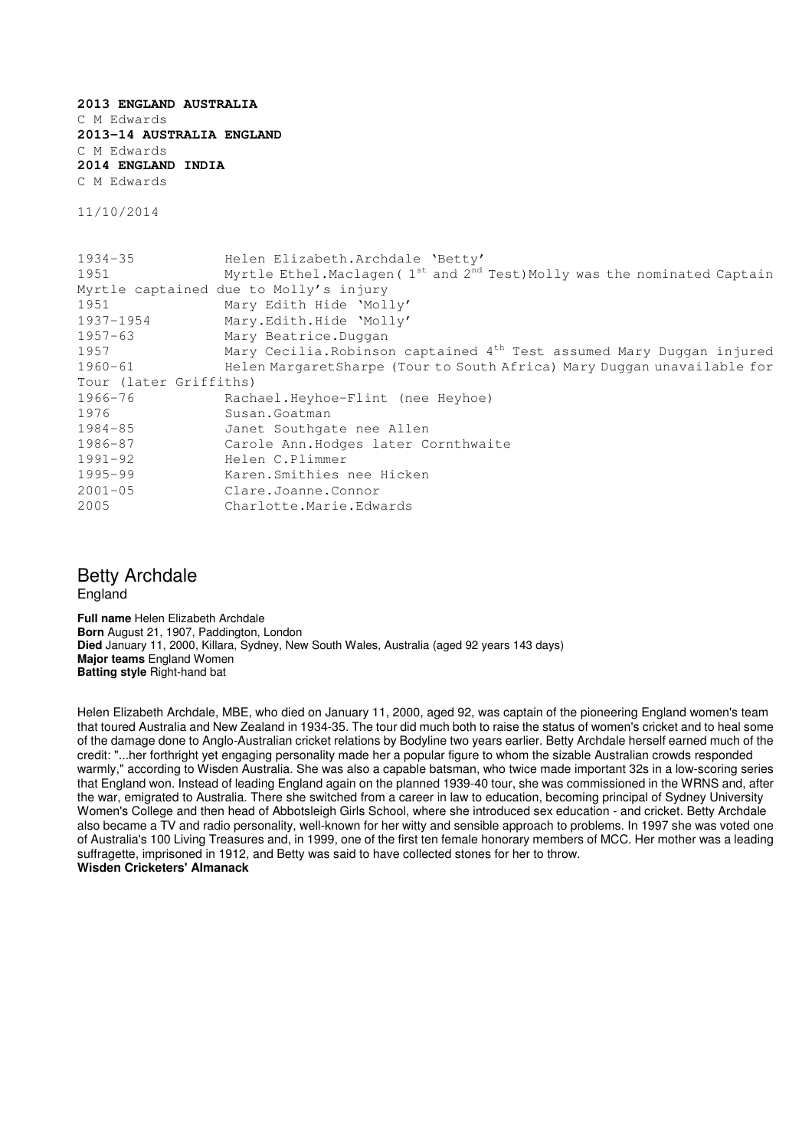**2013 ENGLAND AUSTRALIA**  C M Edwards **2013-14 AUSTRALIA ENGLAND**  C M Edwards **2014 ENGLAND INDIA**  C M Edwards

11/10/2014

```
1934-35 Helen Elizabeth.Archdale 'Betty' 
1951 Myrtle Ethel.Maclagen (1<sup>st</sup> and 2<sup>nd</sup> Test)Molly was the nominated Captain
Myrtle captained due to Molly's injury 
1951 Mary Edith Hide 'Molly' 
1937-1954 Mary.Edith.Hide 'Molly' 
1957-63 Mary Beatrice.Duggan 
1957 Mary Cecilia.Robinson captained 4<sup>th</sup> Test assumed Mary Duggan injured
1960-61 Helen MargaretSharpe (Tour to South Africa) Mary Duggan unavailable for 
Tour (later Griffiths) 
1966-76 Rachael.Heyhoe-Flint (nee Heyhoe) 
1976 Susan.Goatman 
1984-85 Janet Southgate nee Allen 
1986-87 Carole Ann.Hodges later Cornthwaite 
1991-92 Helen C.Plimmer 
1995-99 Karen.Smithies nee Hicken 
2001-05 Clare.Joanne.Connor 
2005 Charlotte.Marie.Edwards
```
### Betty Archdale England

**Full name** Helen Elizabeth Archdale **Born** August 21, 1907, Paddington, London **Died** January 11, 2000, Killara, Sydney, New South Wales, Australia (aged 92 years 143 days) **Major teams** England Women **Batting style** Right-hand bat

Helen Elizabeth Archdale, MBE, who died on January 11, 2000, aged 92, was captain of the pioneering England women's team that toured Australia and New Zealand in 1934-35. The tour did much both to raise the status of women's cricket and to heal some of the damage done to Anglo-Australian cricket relations by Bodyline two years earlier. Betty Archdale herself earned much of the credit: "...her forthright yet engaging personality made her a popular figure to whom the sizable Australian crowds responded warmly," according to Wisden Australia. She was also a capable batsman, who twice made important 32s in a low-scoring series that England won. Instead of leading England again on the planned 1939-40 tour, she was commissioned in the WRNS and, after the war, emigrated to Australia. There she switched from a career in law to education, becoming principal of Sydney University Women's College and then head of Abbotsleigh Girls School, where she introduced sex education - and cricket. Betty Archdale also became a TV and radio personality, well-known for her witty and sensible approach to problems. In 1997 she was voted one of Australia's 100 Living Treasures and, in 1999, one of the first ten female honorary members of MCC. Her mother was a leading suffragette, imprisoned in 1912, and Betty was said to have collected stones for her to throw. **Wisden Cricketers' Almanack**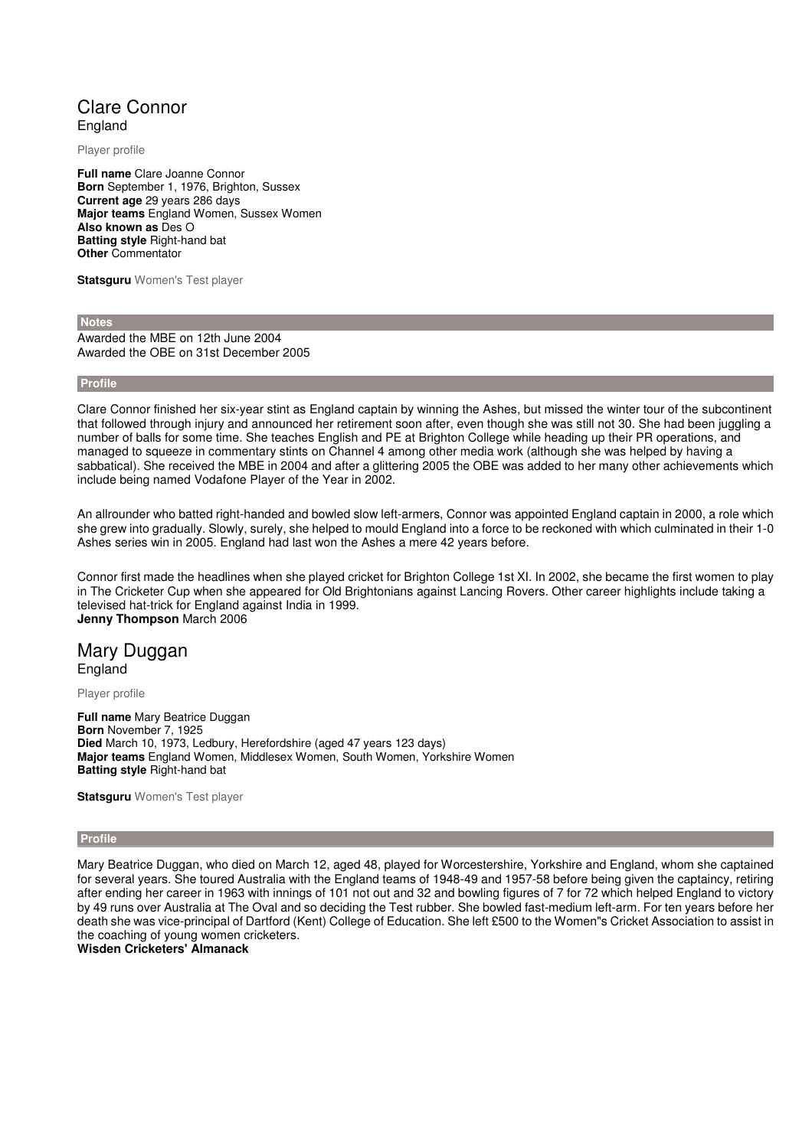# Clare Connor England

Player profile

**Full name** Clare Joanne Connor **Born** September 1, 1976, Brighton, Sussex **Current age** 29 years 286 days **Major teams** England Women, Sussex Women **Also known as** Des O **Batting style** Right-hand bat **Other** Commentator

**Statsguru** Women's Test player

 **Notes** 

Awarded the MBE on 12th June 2004 Awarded the OBE on 31st December 2005

 **Profile** 

Clare Connor finished her six-year stint as England captain by winning the Ashes, but missed the winter tour of the subcontinent that followed through injury and announced her retirement soon after, even though she was still not 30. She had been juggling a number of balls for some time. She teaches English and PE at Brighton College while heading up their PR operations, and managed to squeeze in commentary stints on Channel 4 among other media work (although she was helped by having a sabbatical). She received the MBE in 2004 and after a glittering 2005 the OBE was added to her many other achievements which include being named Vodafone Player of the Year in 2002.

An allrounder who batted right-handed and bowled slow left-armers, Connor was appointed England captain in 2000, a role which she grew into gradually. Slowly, surely, she helped to mould England into a force to be reckoned with which culminated in their 1-0 Ashes series win in 2005. England had last won the Ashes a mere 42 years before.

Connor first made the headlines when she played cricket for Brighton College 1st XI. In 2002, she became the first women to play in The Cricketer Cup when she appeared for Old Brightonians against Lancing Rovers. Other career highlights include taking a televised hat-trick for England against India in 1999. **Jenny Thompson** March 2006

### Mary Duggan England

Player profile

**Full name** Mary Beatrice Duggan **Born** November 7, 1925 **Died** March 10, 1973, Ledbury, Herefordshire (aged 47 years 123 days) **Major teams** England Women, Middlesex Women, South Women, Yorkshire Women **Batting style** Right-hand bat

**Statsguru** Women's Test player

#### **Profile**

Mary Beatrice Duggan, who died on March 12, aged 48, played for Worcestershire, Yorkshire and England, whom she captained for several years. She toured Australia with the England teams of 1948-49 and 1957-58 before being given the captaincy, retiring after ending her career in 1963 with innings of 101 not out and 32 and bowling figures of 7 for 72 which helped England to victory by 49 runs over Australia at The Oval and so deciding the Test rubber. She bowled fast-medium left-arm. For ten years before her death she was vice-principal of Dartford (Kent) College of Education. She left £500 to the Women"s Cricket Association to assist in the coaching of young women cricketers.

**Wisden Cricketers' Almanack**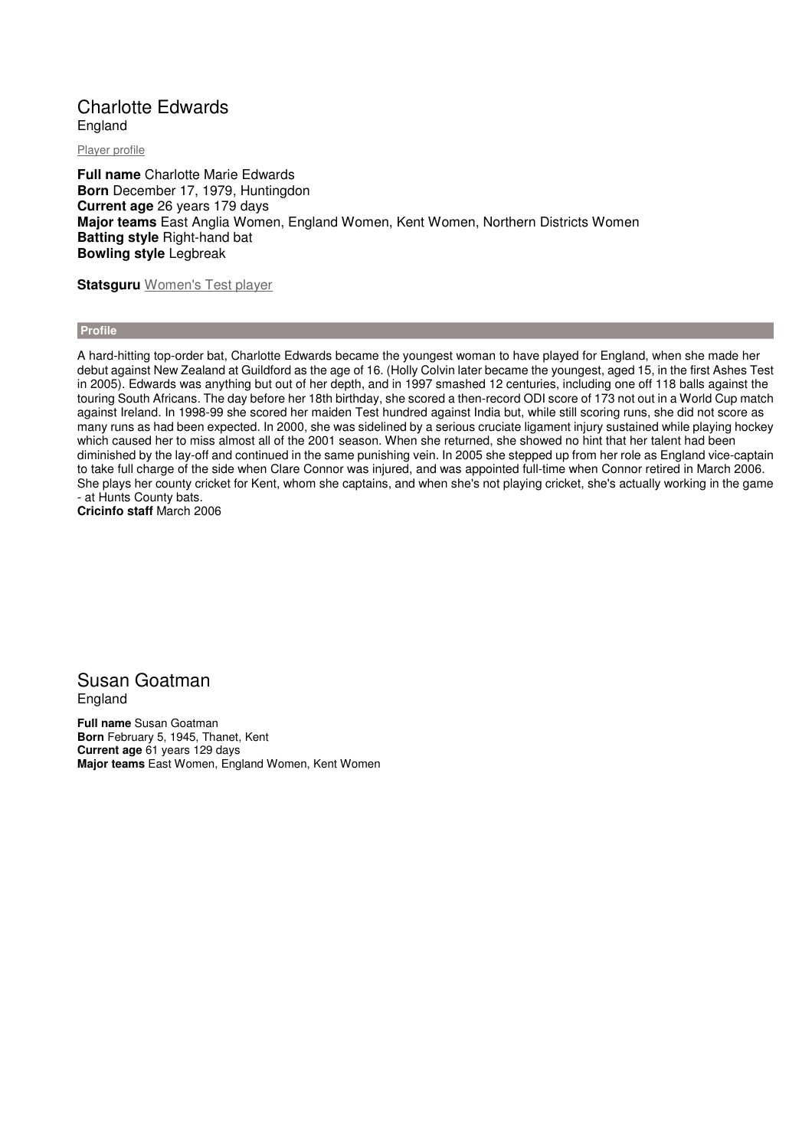# Charlotte Edwards England

Player profile

**Full name** Charlotte Marie Edwards **Born** December 17, 1979, Huntingdon **Current age** 26 years 179 days **Major teams** East Anglia Women, England Women, Kent Women, Northern Districts Women **Batting style** Right-hand bat **Bowling style** Legbreak

**Statsguru** Women's Test player

 **Profile** 

A hard-hitting top-order bat, Charlotte Edwards became the youngest woman to have played for England, when she made her debut against New Zealand at Guildford as the age of 16. (Holly Colvin later became the youngest, aged 15, in the first Ashes Test in 2005). Edwards was anything but out of her depth, and in 1997 smashed 12 centuries, including one off 118 balls against the touring South Africans. The day before her 18th birthday, she scored a then-record ODI score of 173 not out in a World Cup match against Ireland. In 1998-99 she scored her maiden Test hundred against India but, while still scoring runs, she did not score as many runs as had been expected. In 2000, she was sidelined by a serious cruciate ligament injury sustained while playing hockey which caused her to miss almost all of the 2001 season. When she returned, she showed no hint that her talent had been diminished by the lay-off and continued in the same punishing vein. In 2005 she stepped up from her role as England vice-captain to take full charge of the side when Clare Connor was injured, and was appointed full-time when Connor retired in March 2006. She plays her county cricket for Kent, whom she captains, and when she's not playing cricket, she's actually working in the game - at Hunts County bats. **Cricinfo staff** March 2006

## Susan Goatman **England**

**Full name** Susan Goatman **Born** February 5, 1945, Thanet, Kent **Current age** 61 years 129 days **Major teams** East Women, England Women, Kent Women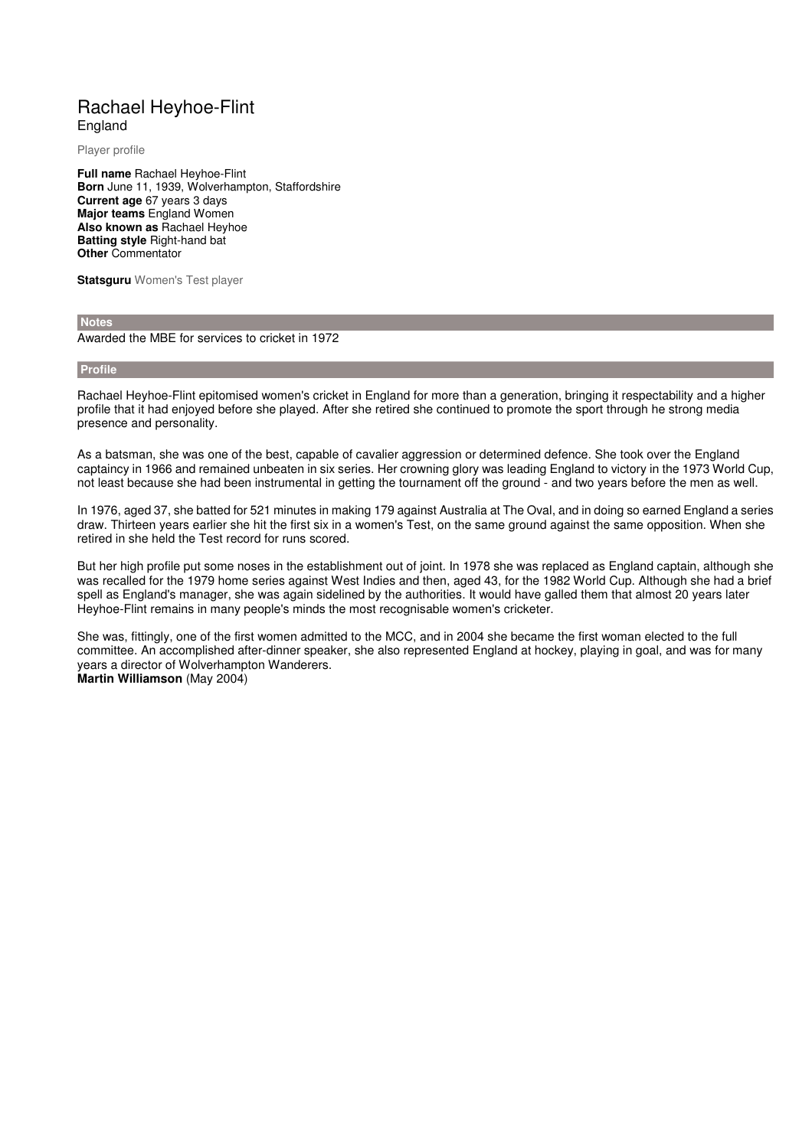# Rachael Heyhoe-Flint England

Player profile

**Full name** Rachael Heyhoe-Flint **Born** June 11, 1939, Wolverhampton, Staffordshire **Current age** 67 years 3 days **Major teams** England Women **Also known as** Rachael Heyhoe **Batting style** Right-hand bat **Other** Commentator

**Statsguru** Women's Test player

#### **Notes**

Awarded the MBE for services to cricket in 1972

#### **Profile**

Rachael Heyhoe-Flint epitomised women's cricket in England for more than a generation, bringing it respectability and a higher profile that it had enjoyed before she played. After she retired she continued to promote the sport through he strong media presence and personality.

As a batsman, she was one of the best, capable of cavalier aggression or determined defence. She took over the England captaincy in 1966 and remained unbeaten in six series. Her crowning glory was leading England to victory in the 1973 World Cup, not least because she had been instrumental in getting the tournament off the ground - and two years before the men as well.

In 1976, aged 37, she batted for 521 minutes in making 179 against Australia at The Oval, and in doing so earned England a series draw. Thirteen years earlier she hit the first six in a women's Test, on the same ground against the same opposition. When she retired in she held the Test record for runs scored.

But her high profile put some noses in the establishment out of joint. In 1978 she was replaced as England captain, although she was recalled for the 1979 home series against West Indies and then, aged 43, for the 1982 World Cup. Although she had a brief spell as England's manager, she was again sidelined by the authorities. It would have galled them that almost 20 years later Heyhoe-Flint remains in many people's minds the most recognisable women's cricketer.

She was, fittingly, one of the first women admitted to the MCC, and in 2004 she became the first woman elected to the full committee. An accomplished after-dinner speaker, she also represented England at hockey, playing in goal, and was for many years a director of Wolverhampton Wanderers. **Martin Williamson** (May 2004)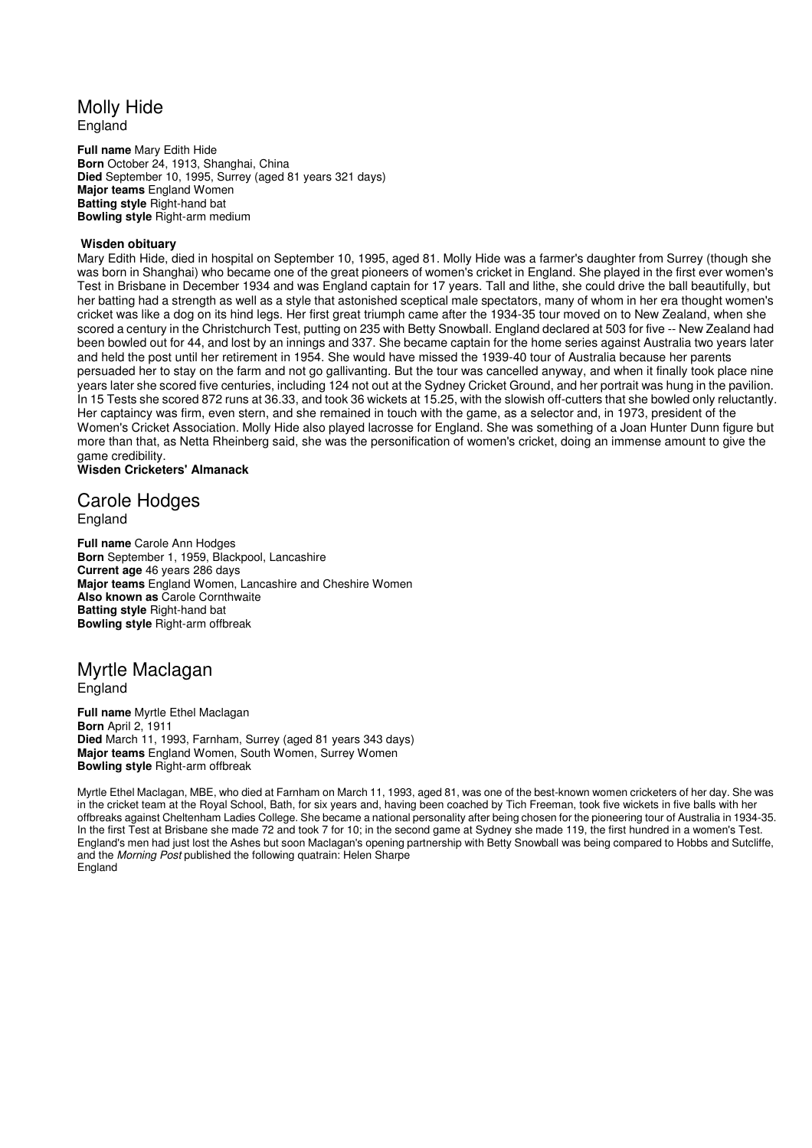# Molly Hide

England

**Full name** Mary Edith Hide **Born** October 24, 1913, Shanghai, China **Died** September 10, 1995, Surrey (aged 81 years 321 days) **Major teams** England Women **Batting style** Right-hand bat **Bowling style** Right-arm medium

### **Wisden obituary**

Mary Edith Hide, died in hospital on September 10, 1995, aged 81. Molly Hide was a farmer's daughter from Surrey (though she was born in Shanghai) who became one of the great pioneers of women's cricket in England. She played in the first ever women's Test in Brisbane in December 1934 and was England captain for 17 years. Tall and lithe, she could drive the ball beautifully, but her batting had a strength as well as a style that astonished sceptical male spectators, many of whom in her era thought women's cricket was like a dog on its hind legs. Her first great triumph came after the 1934-35 tour moved on to New Zealand, when she scored a century in the Christchurch Test, putting on 235 with Betty Snowball. England declared at 503 for five -- New Zealand had been bowled out for 44, and lost by an innings and 337. She became captain for the home series against Australia two years later and held the post until her retirement in 1954. She would have missed the 1939-40 tour of Australia because her parents persuaded her to stay on the farm and not go gallivanting. But the tour was cancelled anyway, and when it finally took place nine years later she scored five centuries, including 124 not out at the Sydney Cricket Ground, and her portrait was hung in the pavilion. In 15 Tests she scored 872 runs at 36.33, and took 36 wickets at 15.25, with the slowish off-cutters that she bowled only reluctantly. Her captaincy was firm, even stern, and she remained in touch with the game, as a selector and, in 1973, president of the Women's Cricket Association. Molly Hide also played lacrosse for England. She was something of a Joan Hunter Dunn figure but more than that, as Netta Rheinberg said, she was the personification of women's cricket, doing an immense amount to give the game credibility.

## **Wisden Cricketers' Almanack**

## Carole Hodges England

**Full name** Carole Ann Hodges **Born** September 1, 1959, Blackpool, Lancashire **Current age** 46 years 286 days **Major teams** England Women, Lancashire and Cheshire Women **Also known as** Carole Cornthwaite **Batting style** Right-hand bat **Bowling style** Right-arm offbreak

### Myrtle Maclagan England

**Full name** Myrtle Ethel Maclagan **Born** April 2, 1911 **Died** March 11, 1993, Farnham, Surrey (aged 81 years 343 days) **Major teams** England Women, South Women, Surrey Women **Bowling style** Right-arm offbreak

Myrtle Ethel Maclagan, MBE, who died at Farnham on March 11, 1993, aged 81, was one of the best-known women cricketers of her day. She was in the cricket team at the Royal School, Bath, for six years and, having been coached by Tich Freeman, took five wickets in five balls with her offbreaks against Cheltenham Ladies College. She became a national personality after being chosen for the pioneering tour of Australia in 1934-35. In the first Test at Brisbane she made 72 and took 7 for 10; in the second game at Sydney she made 119, the first hundred in a women's Test. England's men had just lost the Ashes but soon Maclagan's opening partnership with Betty Snowball was being compared to Hobbs and Sutcliffe, and the Morning Post published the following quatrain: Helen Sharpe **England**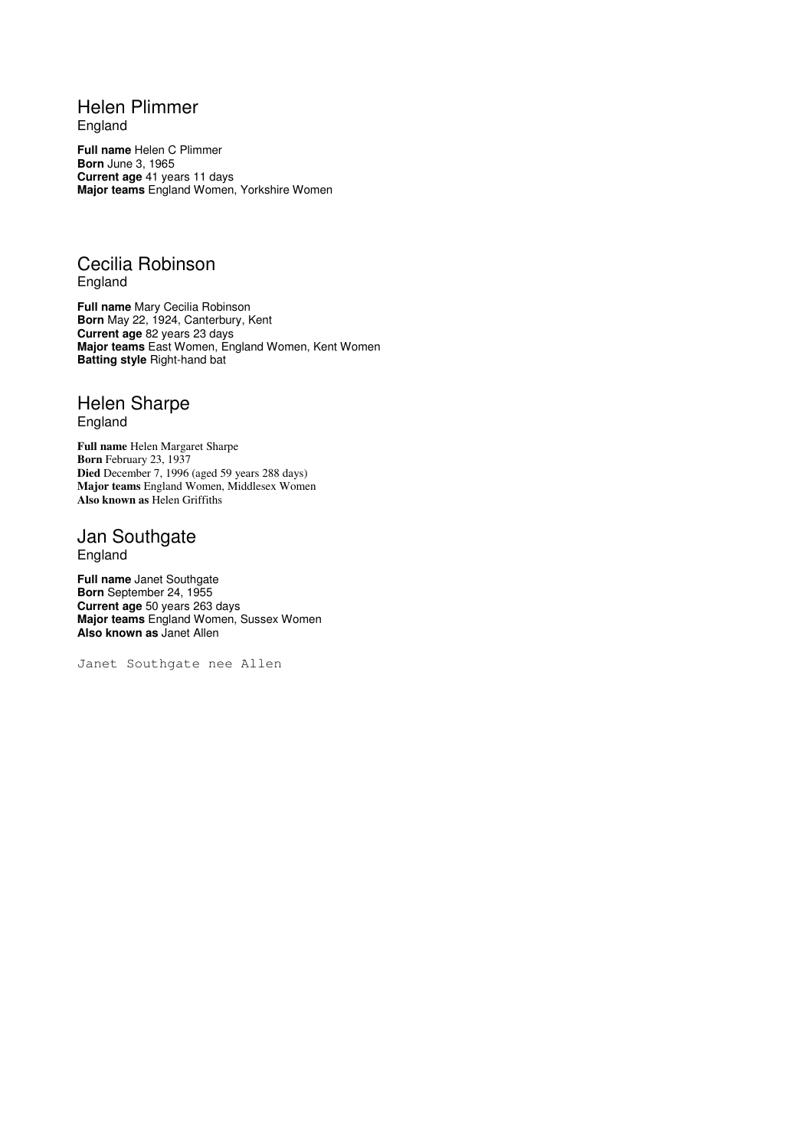# Helen Plimmer

England

**Full name** Helen C Plimmer **Born** June 3, 1965 **Current age** 41 years 11 days **Major teams** England Women, Yorkshire Women

# Cecilia Robinson England

**Full name** Mary Cecilia Robinson **Born** May 22, 1924, Canterbury, Kent **Current age** 82 years 23 days **Major teams** East Women, England Women, Kent Women **Batting style** Right-hand bat

# Helen Sharpe England

**Full name** Helen Margaret Sharpe **Born** February 23, 1937 **Died** December 7, 1996 (aged 59 years 288 days) **Major teams** England Women, Middlesex Women **Also known as** Helen Griffiths

# Jan Southgate England

**Full name** Janet Southgate **Born** September 24, 1955 **Current age** 50 years 263 days **Major teams** England Women, Sussex Women **Also known as** Janet Allen

Janet Southgate nee Allen